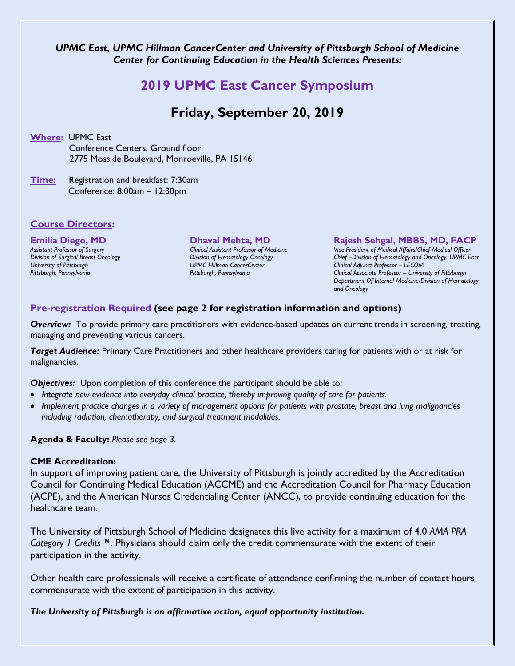### *UPMC East, UPMC Hillman CancerCenter and University of Pittsburgh School of Medicine Center for Continuing Education in the Health Sciences Presents:*

# **2019 UPMC East Cancer Symposium**

# **Friday, September 20, 2019**

**Where:** UPMC East Conference Centers, Ground floor 2775 Mosside Boulevard, Monroeville, PA 15146

**Time:** Registration and breakfast: 7:30am Conference: 8:00am – 12:30pm

### **Course Directors:**

# **Emilia Diego, MD** *Assistant Professor of Surgery*

*Division of Surgical Breast Oncology University of Pittsburgh Pittsburgh, Pennsylvania*

#### **Dhaval Mehta, MD**

*Clinical Assistant Professor of Medicine Division of Hematology Oncology UPMC Hillman CancerCenter Pittsburgh, Pennsylvania*

#### **Rajesh Sehgal, MBBS, MD, FACP**

*Vice President of Medical Affairs/Chief Medical Officer Chief –Division of Hematology and Oncology, UPMC East Clinical Adjunct Professor – LECOM Clinical Associate Professor – University of Pittsburgh Department Of Internal Medicine/Division of Hematology and Oncology*

## **Pre-registration Required (see page 2 for registration information and options)**

*Overview:* To provide primary care practitioners with evidence-based updates on current trends in screening, treating, managing and preventing various cancers.

*Target Audience:* Primary Care Practitioners and other healthcare providers caring for patients with or at risk for malignancies.

**Objectives:** Upon completion of this conference the participant should be able to:

- *Integrate new evidence into everyday clinical practice, thereby improving quality of care for patients.*
- *Implement practice changes in a variety of management options for patients with prostate, breast and lung malignancies including radiation, chemotherapy, and surgical treatment modalities.*

**Agenda & Faculty:** *Please see page 3.*

#### **CME Accreditation:**

In support of improving patient care, the University of Pittsburgh is jointly accredited by the Accreditation Council for Continuing Medical Education (ACCME) and the Accreditation Council for Pharmacy Education (ACPE), and the American Nurses Credentialing Center (ANCC), to provide continuing education for the healthcare team.

The University of Pittsburgh School of Medicine designates this live activity for a maximum of 4.0 *AMA PRA Category 1 Credits™.* Physicians should claim only the credit commensurate with the extent of their participation in the activity.

Other health care professionals will receive a certificate of attendance confirming the number of contact hours commensurate with the extent of participation in this activity.

*The University of Pittsburgh is an affirmative action, equal opportunity institution.*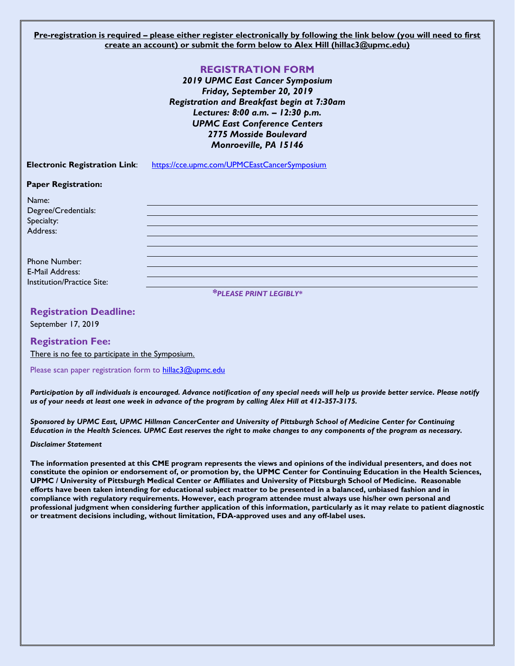**Pre-registration is required – please either register electronically by following the link below (you will need to first create an account) or submit the form below to Alex Hill (hillac3@upmc.edu)**

|                                      | <b>REGISTRATION FORM</b><br>2019 UPMC East Cancer Symposium<br>Friday, September 20, 2019<br>Registration and Breakfast begin at 7:30am<br>Lectures: 8:00 a.m. - 12:30 p.m.<br><b>UPMC East Conference Centers</b><br>2775 Mosside Boulevard<br>Monroeville, PA 15146 |  |
|--------------------------------------|-----------------------------------------------------------------------------------------------------------------------------------------------------------------------------------------------------------------------------------------------------------------------|--|
| <b>Electronic Registration Link:</b> | https://cce.upmc.com/UPMCEastCancerSymposium                                                                                                                                                                                                                          |  |
| <b>Paper Registration:</b>           |                                                                                                                                                                                                                                                                       |  |
| Name:                                |                                                                                                                                                                                                                                                                       |  |
| Degree/Credentials:                  |                                                                                                                                                                                                                                                                       |  |
| Specialty:                           |                                                                                                                                                                                                                                                                       |  |
| Address:                             |                                                                                                                                                                                                                                                                       |  |

Phone Number: E-Mail Address: Institution/Practice Site:

*\*PLEASE PRINT LEGIBLY\**

#### **Registration Deadline:**

September 17, 2019

#### **Registration Fee:**

There is no fee to participate in the Symposium.

Please scan paper registration form to [hillac3@upmc.edu](mailto:hillac3@upmc.edu)

*Participation by all individuals is encouraged. Advance notification of any special needs will help us provide better service. Please notify us of your needs at least one week in advance of the program by calling Alex Hill at 412-357-3175.* 

*Sponsored by UPMC East, UPMC Hillman CancerCenter and University of Pittsburgh School of Medicine Center for Continuing Education in the Health Sciences. UPMC East reserves the right to make changes to any components of the program as necessary.*

#### *Disclaimer Statement*

**The information presented at this CME program represents the views and opinions of the individual presenters, and does not constitute the opinion or endorsement of, or promotion by, the UPMC Center for Continuing Education in the Health Sciences, UPMC / University of Pittsburgh Medical Center or Affiliates and University of Pittsburgh School of Medicine. Reasonable efforts have been taken intending for educational subject matter to be presented in a balanced, unbiased fashion and in compliance with regulatory requirements. However, each program attendee must always use his/her own personal and professional judgment when considering further application of this information, particularly as it may relate to patient diagnostic or treatment decisions including, without limitation, FDA-approved uses and any off-label uses.**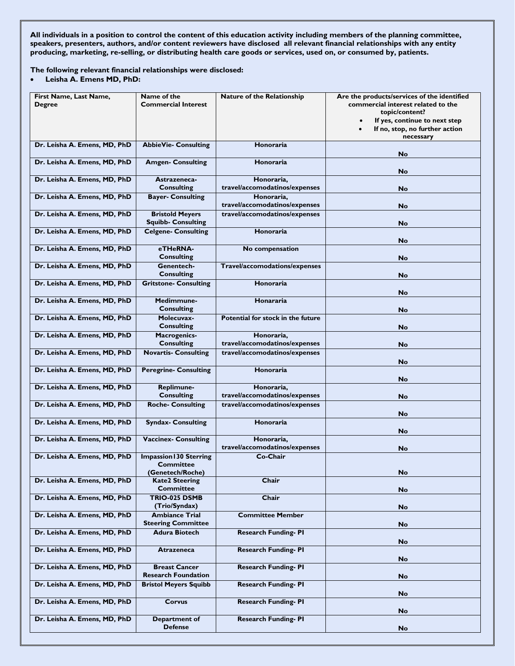**All individuals in a position to control the content of this education activity including members of the planning committee, speakers, presenters, authors, and/or content reviewers have disclosed all relevant financial relationships with any entity producing, marketing, re-selling, or distributing health care goods or services, used on, or consumed by, patients.**

**The following relevant financial relationships were disclosed:**

• **Leisha A. Emens MD, PhD:**

| First Name, Last Name,<br><b>Degree</b> | Name of the<br><b>Commercial Interest</b>           | <b>Nature of the Relationship</b>           | Are the products/services of the identified<br>commercial interest related to the<br>topic/content?<br>If yes, continue to next step |
|-----------------------------------------|-----------------------------------------------------|---------------------------------------------|--------------------------------------------------------------------------------------------------------------------------------------|
|                                         |                                                     |                                             | If no, stop, no further action<br>necessary                                                                                          |
| Dr. Leisha A. Emens, MD, PhD            | <b>AbbieVie- Consulting</b>                         | <b>Honoraria</b>                            | <b>No</b>                                                                                                                            |
| Dr. Leisha A. Emens, MD, PhD            | <b>Amgen- Consulting</b>                            | <b>Honoraria</b>                            | No                                                                                                                                   |
| Dr. Leisha A. Emens, MD, PhD            | Astrazeneca-<br><b>Consulting</b>                   | Honoraria,<br>travel/accomodatinos/expenses | No                                                                                                                                   |
| Dr. Leisha A. Emens, MD, PhD            | <b>Bayer- Consulting</b>                            | Honoraria,<br>travel/accomodatinos/expenses | <b>No</b>                                                                                                                            |
| Dr. Leisha A. Emens, MD, PhD            | <b>Bristold Meyers</b><br><b>Squibb- Consulting</b> | travel/accomodatinos/expenses               | No                                                                                                                                   |
| Dr. Leisha A. Emens, MD, PhD            | <b>Celgene- Consulting</b>                          | Honoraria                                   | No                                                                                                                                   |
| Dr. Leisha A. Emens, MD, PhD            | eTHeRNA-<br><b>Consulting</b>                       | No compensation                             | No                                                                                                                                   |
| Dr. Leisha A. Emens, MD, PhD            | Genentech-<br><b>Consulting</b>                     | Travel/accomodations/expenses               | <b>No</b>                                                                                                                            |
| Dr. Leisha A. Emens, MD, PhD            | <b>Gritstone- Consulting</b>                        | Honoraria                                   | No                                                                                                                                   |
| Dr. Leisha A. Emens, MD, PhD            | Medimmune-<br><b>Consulting</b>                     | Honararia                                   | No                                                                                                                                   |
| Dr. Leisha A. Emens, MD, PhD            | Molecuvax-<br><b>Consulting</b>                     | Potential for stock in the future           | No                                                                                                                                   |
| Dr. Leisha A. Emens, MD, PhD            | <b>Macrogenics-</b><br><b>Consulting</b>            | Honoraria,<br>travel/accomodatinos/expenses | <b>No</b>                                                                                                                            |
| Dr. Leisha A. Emens, MD, PhD            | <b>Novartis- Consulting</b>                         | travel/accomodatinos/expenses               | No                                                                                                                                   |
| Dr. Leisha A. Emens, MD, PhD            | <b>Peregrine- Consulting</b>                        | <b>Honoraria</b>                            | No                                                                                                                                   |
| Dr. Leisha A. Emens, MD, PhD            | Replimune-<br><b>Consulting</b>                     | Honoraria,<br>travel/accomodatinos/expenses | No                                                                                                                                   |
| Dr. Leisha A. Emens, MD, PhD            | <b>Roche- Consulting</b>                            | travel/accomodatinos/expenses               | No                                                                                                                                   |
| Dr. Leisha A. Emens, MD, PhD            | <b>Syndax- Consulting</b>                           | <b>Honoraria</b>                            | No                                                                                                                                   |
| Dr. Leisha A. Emens, MD, PhD            | <b>Vaccinex- Consulting</b>                         | Honoraria,<br>travel/accomodatinos/expenses | No                                                                                                                                   |
| Dr. Leisha A. Emens, MD, PhD            | <b>Impassion130 Sterring</b><br><b>Committee</b>    | Co-Chair                                    |                                                                                                                                      |
| Dr. Leisha A. Emens, MD, PhD            | (Genetech/Roche)<br><b>Kate2 Steering</b>           | Chair                                       | No                                                                                                                                   |
| Dr. Leisha A. Emens, MD, PhD            | Committee<br>TRIO-025 DSMB                          | Chair                                       | No                                                                                                                                   |
|                                         | (Trio/Syndax)                                       |                                             | No                                                                                                                                   |
| Dr. Leisha A. Emens, MD, PhD            | <b>Ambiance Trial</b><br><b>Steering Committee</b>  | <b>Committee Member</b>                     | No                                                                                                                                   |
| Dr. Leisha A. Emens, MD, PhD            | <b>Adura Biotech</b>                                | <b>Research Funding-PI</b>                  | No                                                                                                                                   |
| Dr. Leisha A. Emens, MD, PhD            | Atrazeneca                                          | <b>Research Funding-PI</b>                  | No                                                                                                                                   |
| Dr. Leisha A. Emens, MD, PhD            | <b>Breast Cancer</b><br><b>Research Foundation</b>  | <b>Research Funding-PI</b>                  | No                                                                                                                                   |
| Dr. Leisha A. Emens, MD, PhD            | <b>Bristol Meyers Squibb</b>                        | <b>Research Funding-PI</b>                  | No                                                                                                                                   |
| Dr. Leisha A. Emens, MD, PhD            | Corvus                                              | <b>Research Funding-PI</b>                  | No                                                                                                                                   |
| Dr. Leisha A. Emens, MD, PhD            | Department of<br><b>Defense</b>                     | <b>Research Funding-PI</b>                  | No                                                                                                                                   |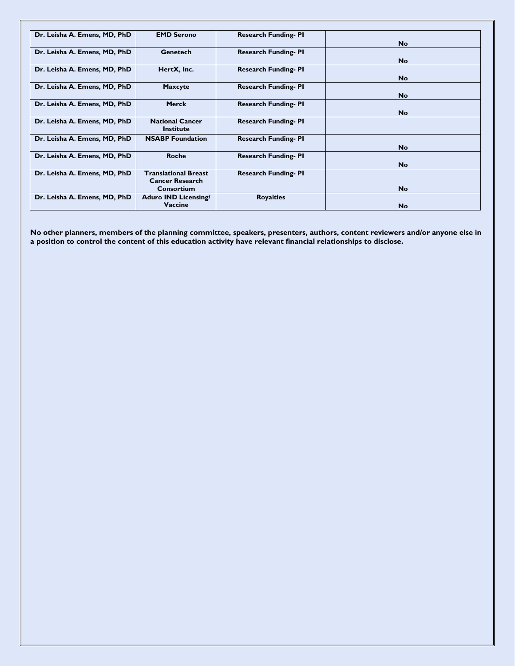| Dr. Leisha A. Emens, MD, PhD | <b>EMD Serono</b>           | <b>Research Funding-PI</b> |           |
|------------------------------|-----------------------------|----------------------------|-----------|
|                              |                             |                            | <b>No</b> |
|                              |                             |                            |           |
| Dr. Leisha A. Emens, MD, PhD | Genetech                    | <b>Research Funding-PI</b> |           |
|                              |                             |                            | <b>No</b> |
|                              |                             |                            |           |
| Dr. Leisha A. Emens, MD, PhD | HertX, Inc.                 | <b>Research Funding-PI</b> |           |
|                              |                             |                            | <b>No</b> |
| Dr. Leisha A. Emens, MD, PhD | <b>Maxcyte</b>              | <b>Research Funding-PI</b> |           |
|                              |                             |                            |           |
|                              |                             |                            | <b>No</b> |
| Dr. Leisha A. Emens, MD, PhD | <b>Merck</b>                | <b>Research Funding-PI</b> |           |
|                              |                             |                            |           |
|                              |                             |                            | <b>No</b> |
| Dr. Leisha A. Emens, MD, PhD | <b>National Cancer</b>      | <b>Research Funding-PI</b> |           |
|                              | <b>Institute</b>            |                            |           |
|                              |                             |                            |           |
| Dr. Leisha A. Emens, MD, PhD | <b>NSABP</b> Foundation     | <b>Research Funding-PI</b> |           |
|                              |                             |                            | <b>No</b> |
| Dr. Leisha A. Emens, MD, PhD | Roche                       |                            |           |
|                              |                             | <b>Research Funding-PI</b> |           |
|                              |                             |                            | <b>No</b> |
| Dr. Leisha A. Emens, MD, PhD | <b>Translational Breast</b> | <b>Research Funding-PI</b> |           |
|                              | <b>Cancer Research</b>      |                            |           |
|                              |                             |                            |           |
|                              | Consortium                  |                            | <b>No</b> |
| Dr. Leisha A. Emens, MD, PhD | <b>Aduro IND Licensing/</b> | <b>Royalties</b>           |           |
|                              | Vaccine                     |                            |           |
|                              |                             |                            | <b>No</b> |

**No other planners, members of the planning committee, speakers, presenters, authors, content reviewers and/or anyone else in a position to control the content of this education activity have relevant financial relationships to disclose.**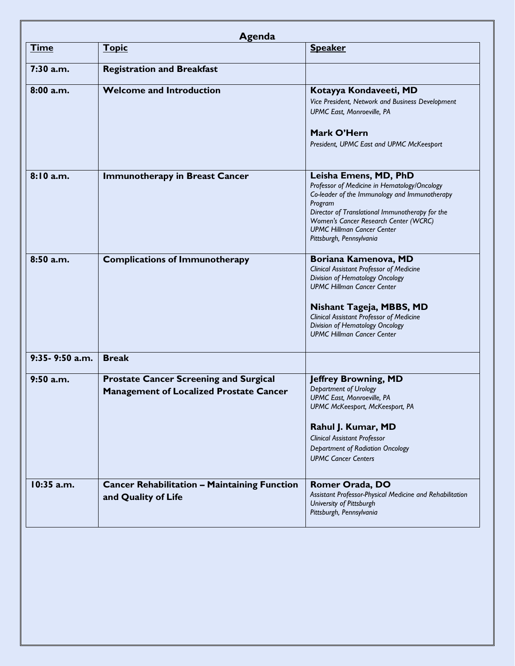| <b>Time</b>    | Agenda<br><b>Topic</b>                              | <b>Speaker</b>                                                                           |
|----------------|-----------------------------------------------------|------------------------------------------------------------------------------------------|
|                |                                                     |                                                                                          |
| 7:30 a.m.      | <b>Registration and Breakfast</b>                   |                                                                                          |
| 8:00a.m.       | <b>Welcome and Introduction</b>                     | Kotayya Kondaveeti, MD                                                                   |
|                |                                                     | Vice President, Network and Business Development                                         |
|                |                                                     | UPMC East, Monroeville, PA                                                               |
|                |                                                     | Mark O'Hern                                                                              |
|                |                                                     | President, UPMC East and UPMC McKeesport                                                 |
| 8:10 a.m.      | <b>Immunotherapy in Breast Cancer</b>               | Leisha Emens, MD, PhD                                                                    |
|                |                                                     | Professor of Medicine in Hematology/Oncology                                             |
|                |                                                     | Co-leader of the Immunology and Immunotherapy                                            |
|                |                                                     | Program                                                                                  |
|                |                                                     | Director of Translational Immunotherapy for the<br>Women's Cancer Research Center (WCRC) |
|                |                                                     | <b>UPMC Hillman Cancer Center</b>                                                        |
|                |                                                     | Pittsburgh, Pennsylvania                                                                 |
| 8:50 a.m.      | <b>Complications of Immunotherapy</b>               | Boriana Kamenova, MD                                                                     |
|                |                                                     | <b>Clinical Assistant Professor of Medicine</b>                                          |
|                |                                                     | Division of Hematology Oncology<br><b>UPMC Hillman Cancer Center</b>                     |
|                |                                                     |                                                                                          |
|                |                                                     | Nishant Tageja, MBBS, MD                                                                 |
|                |                                                     | <b>Clinical Assistant Professor of Medicine</b>                                          |
|                |                                                     | Division of Hematology Oncology                                                          |
|                |                                                     | <b>UPMC Hillman Cancer Center</b>                                                        |
| 9:35-9:50 a.m. | <b>Break</b>                                        |                                                                                          |
| $9:50$ a.m.    | <b>Prostate Cancer Screening and Surgical</b>       | <b>Jeffrey Browning, MD</b>                                                              |
|                | <b>Management of Localized Prostate Cancer</b>      | Department of Urology                                                                    |
|                |                                                     | UPMC East, Monroeville, PA                                                               |
|                |                                                     | UPMC McKeesport, McKeesport, PA                                                          |
|                |                                                     | Rahul J. Kumar, MD                                                                       |
|                |                                                     | <b>Clinical Assistant Professor</b>                                                      |
|                |                                                     | Department of Radiation Oncology                                                         |
|                |                                                     | <b>UPMC Cancer Centers</b>                                                               |
| 10:35 a.m.     | <b>Cancer Rehabilitation - Maintaining Function</b> | Romer Orada, DO                                                                          |
|                | and Quality of Life                                 | Assistant Professor-Physical Medicine and Rehabilitation                                 |
|                |                                                     | University of Pittsburgh                                                                 |
|                |                                                     | Pittsburgh, Pennsylvania                                                                 |